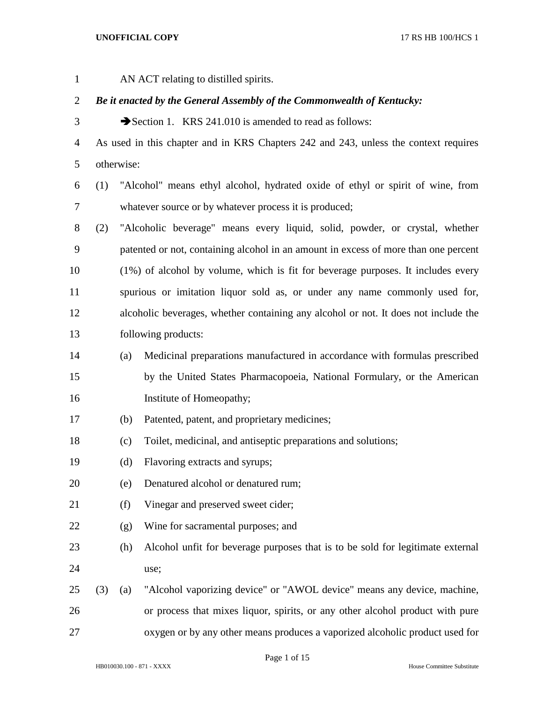AN ACT relating to distilled spirits. *Be it enacted by the General Assembly of the Commonwealth of Kentucky:* 3 Section 1. KRS 241.010 is amended to read as follows: As used in this chapter and in KRS Chapters 242 and 243, unless the context requires otherwise: (1) "Alcohol" means ethyl alcohol, hydrated oxide of ethyl or spirit of wine, from whatever source or by whatever process it is produced; (2) "Alcoholic beverage" means every liquid, solid, powder, or crystal, whether patented or not, containing alcohol in an amount in excess of more than one percent (1%) of alcohol by volume, which is fit for beverage purposes. It includes every spurious or imitation liquor sold as, or under any name commonly used for, alcoholic beverages, whether containing any alcohol or not. It does not include the following products: (a) Medicinal preparations manufactured in accordance with formulas prescribed by the United States Pharmacopoeia, National Formulary, or the American Institute of Homeopathy; (b) Patented, patent, and proprietary medicines; (c) Toilet, medicinal, and antiseptic preparations and solutions; (d) Flavoring extracts and syrups; (e) Denatured alcohol or denatured rum; (f) Vinegar and preserved sweet cider; (g) Wine for sacramental purposes; and (h) Alcohol unfit for beverage purposes that is to be sold for legitimate external use; (3) (a) "Alcohol vaporizing device" or "AWOL device" means any device, machine, or process that mixes liquor, spirits, or any other alcohol product with pure oxygen or by any other means produces a vaporized alcoholic product used for

Page 1 of 15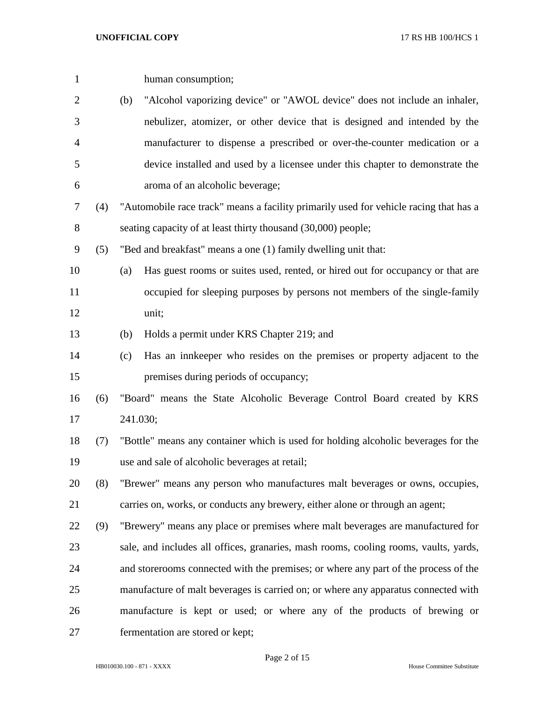| $\mathbf{1}$   |     |                                                                                    | human consumption;                                                                    |  |
|----------------|-----|------------------------------------------------------------------------------------|---------------------------------------------------------------------------------------|--|
| $\overline{2}$ |     | (b)                                                                                | "Alcohol vaporizing device" or "AWOL device" does not include an inhaler,             |  |
| 3              |     |                                                                                    | nebulizer, atomizer, or other device that is designed and intended by the             |  |
| 4              |     |                                                                                    | manufacturer to dispense a prescribed or over-the-counter medication or a             |  |
| 5              |     |                                                                                    | device installed and used by a licensee under this chapter to demonstrate the         |  |
| 6              |     |                                                                                    | aroma of an alcoholic beverage;                                                       |  |
| 7              | (4) |                                                                                    | "Automobile race track" means a facility primarily used for vehicle racing that has a |  |
| 8              |     |                                                                                    | seating capacity of at least thirty thousand (30,000) people;                         |  |
| 9              | (5) |                                                                                    | "Bed and breakfast" means a one (1) family dwelling unit that:                        |  |
| 10             |     | (a)                                                                                | Has guest rooms or suites used, rented, or hired out for occupancy or that are        |  |
| 11             |     |                                                                                    | occupied for sleeping purposes by persons not members of the single-family            |  |
| 12             |     |                                                                                    | unit;                                                                                 |  |
| 13             |     | (b)                                                                                | Holds a permit under KRS Chapter 219; and                                             |  |
| 14             |     | (c)                                                                                | Has an innkeeper who resides on the premises or property adjacent to the              |  |
| 15             |     |                                                                                    | premises during periods of occupancy;                                                 |  |
| 16             | (6) |                                                                                    | "Board" means the State Alcoholic Beverage Control Board created by KRS               |  |
| 17             |     |                                                                                    | 241.030;                                                                              |  |
| 18             | (7) | "Bottle" means any container which is used for holding alcoholic beverages for the |                                                                                       |  |
| 19             |     |                                                                                    | use and sale of alcoholic beverages at retail;                                        |  |
| 20             | (8) |                                                                                    | "Brewer" means any person who manufactures malt beverages or owns, occupies,          |  |
| 21             |     |                                                                                    | carries on, works, or conducts any brewery, either alone or through an agent;         |  |
| 22             | (9) |                                                                                    | "Brewery" means any place or premises where malt beverages are manufactured for       |  |
| 23             |     |                                                                                    | sale, and includes all offices, granaries, mash rooms, cooling rooms, vaults, yards,  |  |
| 24             |     |                                                                                    | and storerooms connected with the premises; or where any part of the process of the   |  |
| 25             |     |                                                                                    | manufacture of malt beverages is carried on; or where any apparatus connected with    |  |
| 26             |     |                                                                                    | manufacture is kept or used; or where any of the products of brewing or               |  |
| 27             |     |                                                                                    | fermentation are stored or kept;                                                      |  |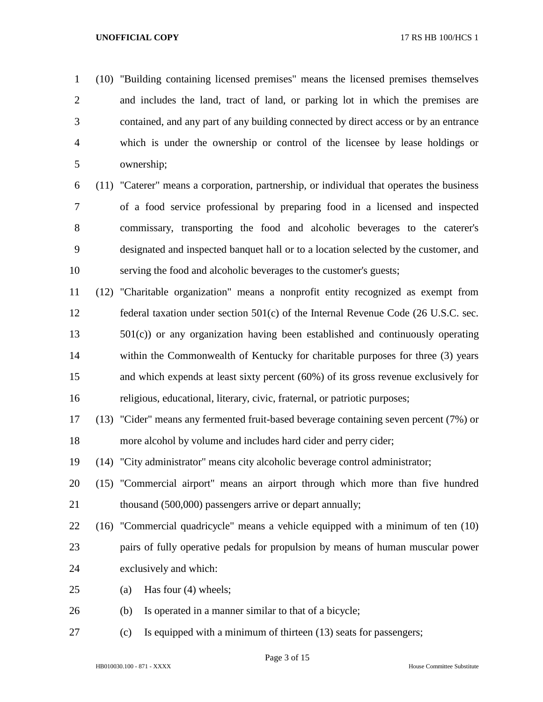(10) "Building containing licensed premises" means the licensed premises themselves and includes the land, tract of land, or parking lot in which the premises are contained, and any part of any building connected by direct access or by an entrance which is under the ownership or control of the licensee by lease holdings or ownership;

 (11) "Caterer" means a corporation, partnership, or individual that operates the business of a food service professional by preparing food in a licensed and inspected commissary, transporting the food and alcoholic beverages to the caterer's designated and inspected banquet hall or to a location selected by the customer, and serving the food and alcoholic beverages to the customer's guests;

 (12) "Charitable organization" means a nonprofit entity recognized as exempt from federal taxation under section 501(c) of the Internal Revenue Code (26 U.S.C. sec. 501(c)) or any organization having been established and continuously operating within the Commonwealth of Kentucky for charitable purposes for three (3) years and which expends at least sixty percent (60%) of its gross revenue exclusively for religious, educational, literary, civic, fraternal, or patriotic purposes;

 (13) "Cider" means any fermented fruit-based beverage containing seven percent (7%) or more alcohol by volume and includes hard cider and perry cider;

(14) "City administrator" means city alcoholic beverage control administrator;

 (15) "Commercial airport" means an airport through which more than five hundred 21 thousand (500,000) passengers arrive or depart annually;

 (16) "Commercial quadricycle" means a vehicle equipped with a minimum of ten (10) pairs of fully operative pedals for propulsion by means of human muscular power exclusively and which:

- (a) Has four (4) wheels;
- (b) Is operated in a manner similar to that of a bicycle;
- (c) Is equipped with a minimum of thirteen (13) seats for passengers;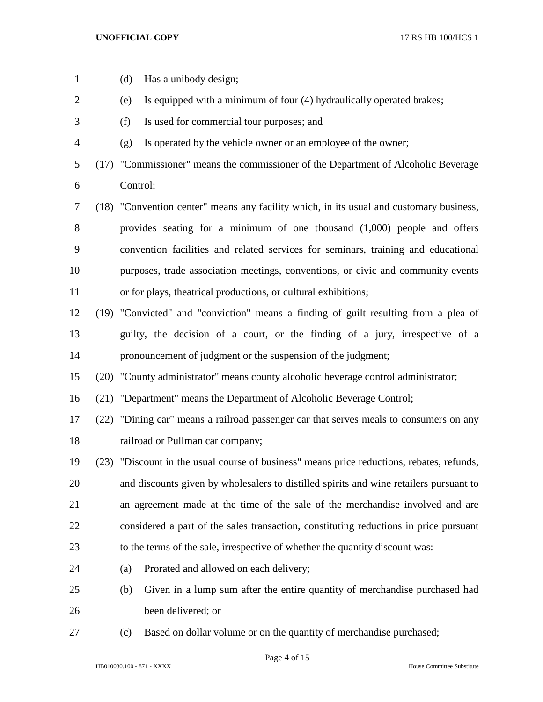| $\mathbf{1}$   | (d)      | Has a unibody design;                                                                     |
|----------------|----------|-------------------------------------------------------------------------------------------|
| $\overline{2}$ | (e)      | Is equipped with a minimum of four (4) hydraulically operated brakes;                     |
| 3              | (f)      | Is used for commercial tour purposes; and                                                 |
| $\overline{4}$ | (g)      | Is operated by the vehicle owner or an employee of the owner;                             |
| 5              |          | (17) "Commissioner" means the commissioner of the Department of Alcoholic Beverage        |
| 6              | Control; |                                                                                           |
| 7              |          | (18) "Convention center" means any facility which, in its usual and customary business,   |
| 8              |          | provides seating for a minimum of one thousand $(1,000)$ people and offers                |
| 9              |          | convention facilities and related services for seminars, training and educational         |
| 10             |          | purposes, trade association meetings, conventions, or civic and community events          |
| 11             |          | or for plays, theatrical productions, or cultural exhibitions;                            |
| 12             |          | (19) "Convicted" and "conviction" means a finding of guilt resulting from a plea of       |
| 13             |          | guilty, the decision of a court, or the finding of a jury, irrespective of a              |
| 14             |          | pronouncement of judgment or the suspension of the judgment;                              |
| 15             |          | (20) "County administrator" means county alcoholic beverage control administrator;        |
| 16             |          | (21) "Department" means the Department of Alcoholic Beverage Control;                     |
| 17             |          | (22) "Dining car" means a railroad passenger car that serves meals to consumers on any    |
| 18             |          | railroad or Pullman car company;                                                          |
| 19             |          | (23) "Discount in the usual course of business" means price reductions, rebates, refunds, |
| 20             |          | and discounts given by wholesalers to distilled spirits and wine retailers pursuant to    |
| 21             |          | an agreement made at the time of the sale of the merchandise involved and are             |
| 22             |          | considered a part of the sales transaction, constituting reductions in price pursuant     |
| 23             |          | to the terms of the sale, irrespective of whether the quantity discount was:              |
| 24             | (a)      | Prorated and allowed on each delivery;                                                    |
| 25             | (b)      | Given in a lump sum after the entire quantity of merchandise purchased had                |
| 26             |          | been delivered; or                                                                        |
| 27             | (c)      | Based on dollar volume or on the quantity of merchandise purchased;                       |

Page 4 of 15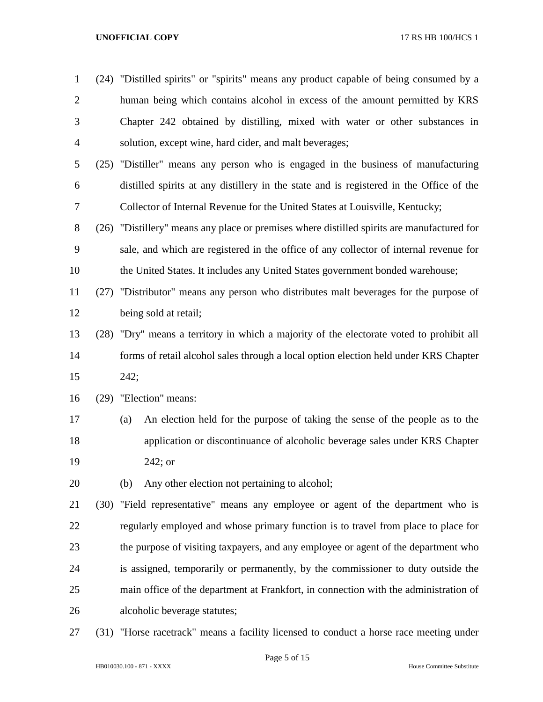| $\mathbf{1}$   |      | (24) "Distilled spirits" or "spirits" means any product capable of being consumed by a     |
|----------------|------|--------------------------------------------------------------------------------------------|
| $\overline{2}$ |      | human being which contains alcohol in excess of the amount permitted by KRS                |
| 3              |      | Chapter 242 obtained by distilling, mixed with water or other substances in                |
| $\overline{4}$ |      | solution, except wine, hard cider, and malt beverages;                                     |
| 5              |      | (25) "Distiller" means any person who is engaged in the business of manufacturing          |
| 6              |      | distilled spirits at any distillery in the state and is registered in the Office of the    |
| $\tau$         |      | Collector of Internal Revenue for the United States at Louisville, Kentucky;               |
| 8              |      | (26) "Distillery" means any place or premises where distilled spirits are manufactured for |
| 9              |      | sale, and which are registered in the office of any collector of internal revenue for      |
| 10             |      | the United States. It includes any United States government bonded warehouse;              |
| 11             |      | (27) "Distributor" means any person who distributes malt beverages for the purpose of      |
| 12             |      | being sold at retail;                                                                      |
| 13             |      | (28) "Dry" means a territory in which a majority of the electorate voted to prohibit all   |
| 14             |      | forms of retail alcohol sales through a local option election held under KRS Chapter       |
| 15             |      | 242;                                                                                       |
| 16             |      | (29) "Election" means:                                                                     |
| 17             |      | An election held for the purpose of taking the sense of the people as to the<br>(a)        |
| 18             |      | application or discontinuance of alcoholic beverage sales under KRS Chapter                |
| 19             |      | $242;$ or                                                                                  |
| 20             |      | Any other election not pertaining to alcohol;<br>(b)                                       |
| 21             |      | (30) "Field representative" means any employee or agent of the department who is           |
| 22             |      | regularly employed and whose primary function is to travel from place to place for         |
| 23             |      | the purpose of visiting taxpayers, and any employee or agent of the department who         |
| 24             |      | is assigned, temporarily or permanently, by the commissioner to duty outside the           |
| 25             |      | main office of the department at Frankfort, in connection with the administration of       |
| 26             |      | alcoholic beverage statutes;                                                               |
| 27             | (31) | "Horse racetrack" means a facility licensed to conduct a horse race meeting under          |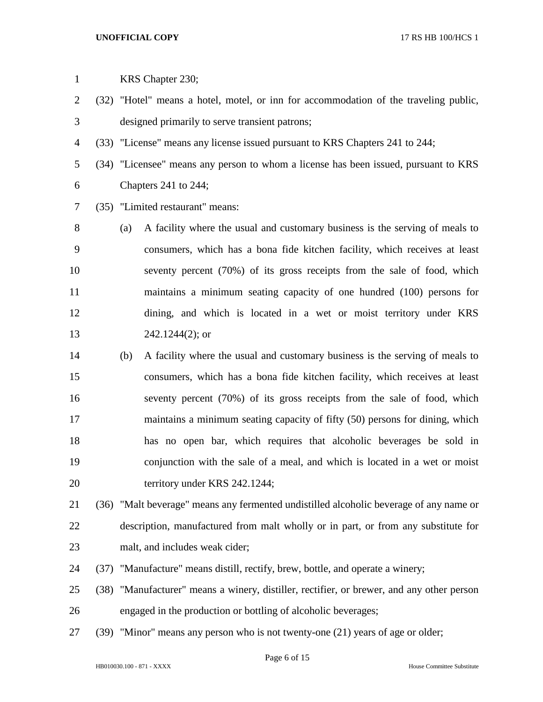| $\mathbf{1}$   |      |     | KRS Chapter 230;                                                                       |
|----------------|------|-----|----------------------------------------------------------------------------------------|
| $\overline{2}$ |      |     | (32) "Hotel" means a hotel, motel, or inn for accommodation of the traveling public,   |
| 3              |      |     | designed primarily to serve transient patrons;                                         |
| 4              |      |     | (33) "License" means any license issued pursuant to KRS Chapters 241 to 244;           |
| 5              |      |     | (34) "Licensee" means any person to whom a license has been issued, pursuant to KRS    |
| 6              |      |     | Chapters 241 to 244;                                                                   |
| 7              |      |     | (35) "Limited restaurant" means:                                                       |
| 8              |      | (a) | A facility where the usual and customary business is the serving of meals to           |
| 9              |      |     | consumers, which has a bona fide kitchen facility, which receives at least             |
| 10             |      |     | seventy percent (70%) of its gross receipts from the sale of food, which               |
| 11             |      |     | maintains a minimum seating capacity of one hundred (100) persons for                  |
| 12             |      |     | dining, and which is located in a wet or moist territory under KRS                     |
| 13             |      |     | $242.1244(2)$ ; or                                                                     |
| 14             |      | (b) | A facility where the usual and customary business is the serving of meals to           |
| 15             |      |     | consumers, which has a bona fide kitchen facility, which receives at least             |
| 16             |      |     | seventy percent (70%) of its gross receipts from the sale of food, which               |
| 17             |      |     | maintains a minimum seating capacity of fifty (50) persons for dining, which           |
| 18             |      |     | has no open bar, which requires that alcoholic beverages be sold in                    |
| 19             |      |     | conjunction with the sale of a meal, and which is located in a wet or moist            |
| 20             |      |     | territory under KRS 242.1244;                                                          |
| 21             |      |     | (36) "Malt beverage" means any fermented undistilled alcoholic beverage of any name or |
| 22             |      |     | description, manufactured from malt wholly or in part, or from any substitute for      |
| 23             |      |     | malt, and includes weak cider;                                                         |
| 24             | (37) |     | "Manufacture" means distill, rectify, brew, bottle, and operate a winery;              |
| 25             | (38) |     | "Manufacturer" means a winery, distiller, rectifier, or brewer, and any other person   |
| 26             |      |     | engaged in the production or bottling of alcoholic beverages;                          |
| 27             |      |     | (39) "Minor" means any person who is not twenty-one (21) years of age or older;        |
|                |      |     | Diag 6 of 15                                                                           |

Page 6 of 15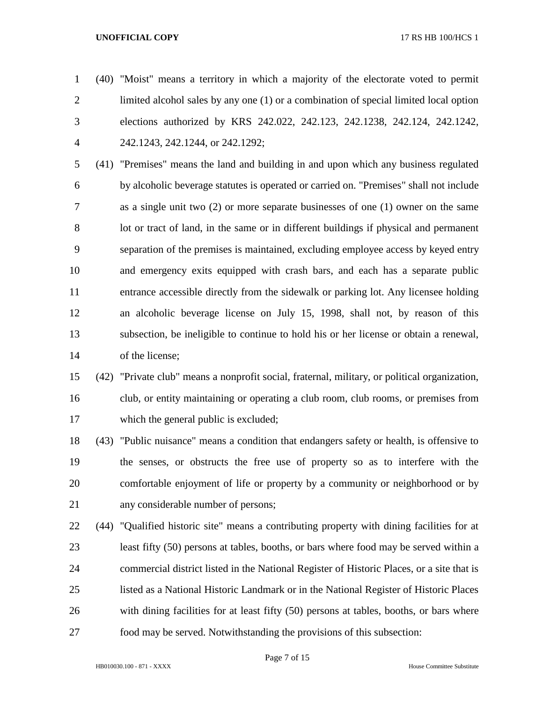(40) "Moist" means a territory in which a majority of the electorate voted to permit limited alcohol sales by any one (1) or a combination of special limited local option elections authorized by KRS 242.022, 242.123, 242.1238, 242.124, 242.1242, 242.1243, 242.1244, or 242.1292;

 (41) "Premises" means the land and building in and upon which any business regulated by alcoholic beverage statutes is operated or carried on. "Premises" shall not include as a single unit two (2) or more separate businesses of one (1) owner on the same lot or tract of land, in the same or in different buildings if physical and permanent separation of the premises is maintained, excluding employee access by keyed entry and emergency exits equipped with crash bars, and each has a separate public entrance accessible directly from the sidewalk or parking lot. Any licensee holding an alcoholic beverage license on July 15, 1998, shall not, by reason of this subsection, be ineligible to continue to hold his or her license or obtain a renewal, of the license;

# (42) "Private club" means a nonprofit social, fraternal, military, or political organization, club, or entity maintaining or operating a club room, club rooms, or premises from which the general public is excluded;

 (43) "Public nuisance" means a condition that endangers safety or health, is offensive to the senses, or obstructs the free use of property so as to interfere with the comfortable enjoyment of life or property by a community or neighborhood or by any considerable number of persons;

 (44) "Qualified historic site" means a contributing property with dining facilities for at least fifty (50) persons at tables, booths, or bars where food may be served within a commercial district listed in the National Register of Historic Places, or a site that is listed as a National Historic Landmark or in the National Register of Historic Places with dining facilities for at least fifty (50) persons at tables, booths, or bars where food may be served. Notwithstanding the provisions of this subsection: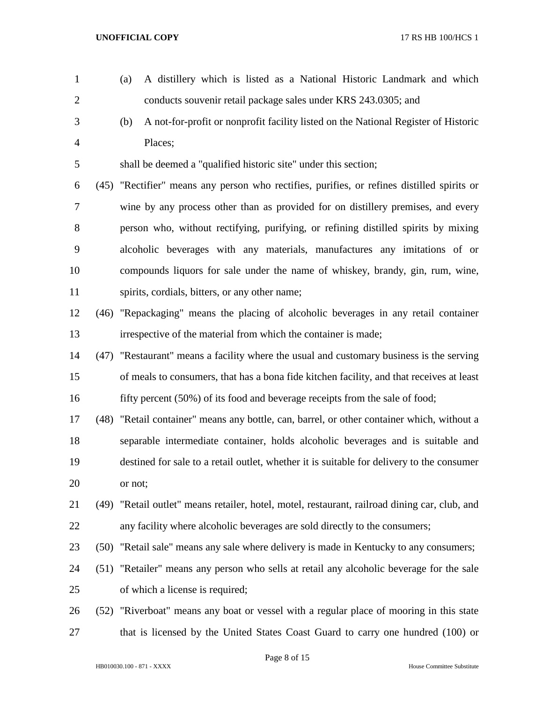conducts souvenir retail package sales under KRS 243.0305; and (b) A not-for-profit or nonprofit facility listed on the National Register of Historic Places; shall be deemed a "qualified historic site" under this section; (45) "Rectifier" means any person who rectifies, purifies, or refines distilled spirits or wine by any process other than as provided for on distillery premises, and every person who, without rectifying, purifying, or refining distilled spirits by mixing alcoholic beverages with any materials, manufactures any imitations of or compounds liquors for sale under the name of whiskey, brandy, gin, rum, wine, spirits, cordials, bitters, or any other name; (46) "Repackaging" means the placing of alcoholic beverages in any retail container irrespective of the material from which the container is made; (47) "Restaurant" means a facility where the usual and customary business is the serving of meals to consumers, that has a bona fide kitchen facility, and that receives at least 16 fifty percent (50%) of its food and beverage receipts from the sale of food; (48) "Retail container" means any bottle, can, barrel, or other container which, without a separable intermediate container, holds alcoholic beverages and is suitable and destined for sale to a retail outlet, whether it is suitable for delivery to the consumer or not; (49) "Retail outlet" means retailer, hotel, motel, restaurant, railroad dining car, club, and any facility where alcoholic beverages are sold directly to the consumers; (50) "Retail sale" means any sale where delivery is made in Kentucky to any consumers; (51) "Retailer" means any person who sells at retail any alcoholic beverage for the sale of which a license is required; (52) "Riverboat" means any boat or vessel with a regular place of mooring in this state 27 that is licensed by the United States Coast Guard to carry one hundred (100) or

(a) A distillery which is listed as a National Historic Landmark and which

HB010030.100 - 871 - XXXX House Committee Substitute

Page 8 of 15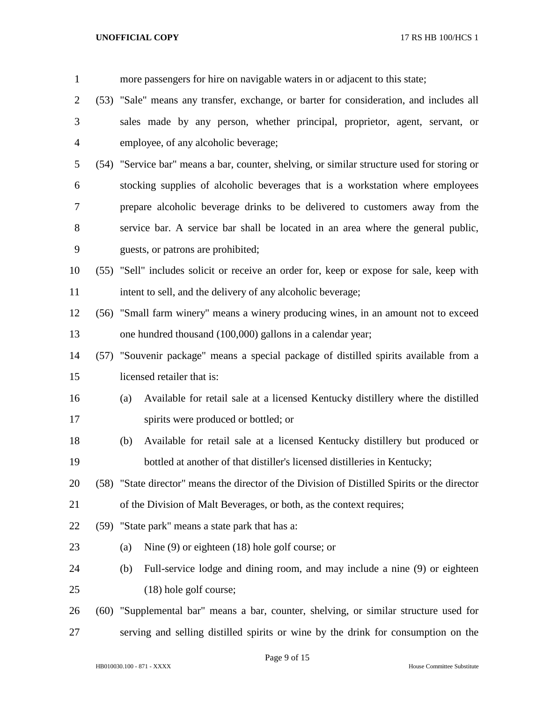| $\mathbf{1}$   |      |     | more passengers for hire on navigable waters in or adjacent to this state;                    |
|----------------|------|-----|-----------------------------------------------------------------------------------------------|
| $\overline{c}$ |      |     | (53) "Sale" means any transfer, exchange, or barter for consideration, and includes all       |
| 3              |      |     | sales made by any person, whether principal, proprietor, agent, servant, or                   |
| 4              |      |     | employee, of any alcoholic beverage;                                                          |
| 5              |      |     | (54) "Service bar" means a bar, counter, shelving, or similar structure used for storing or   |
| 6              |      |     | stocking supplies of alcoholic beverages that is a workstation where employees                |
| 7              |      |     | prepare alcoholic beverage drinks to be delivered to customers away from the                  |
| 8              |      |     | service bar. A service bar shall be located in an area where the general public,              |
| 9              |      |     | guests, or patrons are prohibited;                                                            |
| 10             |      |     | (55) "Sell" includes solicit or receive an order for, keep or expose for sale, keep with      |
| 11             |      |     | intent to sell, and the delivery of any alcoholic beverage;                                   |
| 12             |      |     | (56) "Small farm winery" means a winery producing wines, in an amount not to exceed           |
| 13             |      |     | one hundred thousand (100,000) gallons in a calendar year;                                    |
| 14             |      |     | (57) "Souvenir package" means a special package of distilled spirits available from a         |
| 15             |      |     | licensed retailer that is:                                                                    |
| 16             |      | (a) | Available for retail sale at a licensed Kentucky distillery where the distilled               |
| 17             |      |     | spirits were produced or bottled; or                                                          |
| 18             |      | (b) | Available for retail sale at a licensed Kentucky distillery but produced or                   |
| 19             |      |     | bottled at another of that distiller's licensed distilleries in Kentucky;                     |
| 20             |      |     | (58) "State director" means the director of the Division of Distilled Spirits or the director |
| 21             |      |     | of the Division of Malt Beverages, or both, as the context requires;                          |
| 22             |      |     | (59) "State park" means a state park that has a:                                              |
| 23             |      | (a) | Nine $(9)$ or eighteen $(18)$ hole golf course; or                                            |
| 24             |      | (b) | Full-service lodge and dining room, and may include a nine (9) or eighteen                    |
| 25             |      |     | (18) hole golf course;                                                                        |
| 26             | (60) |     | "Supplemental bar" means a bar, counter, shelving, or similar structure used for              |
| 27             |      |     | serving and selling distilled spirits or wine by the drink for consumption on the             |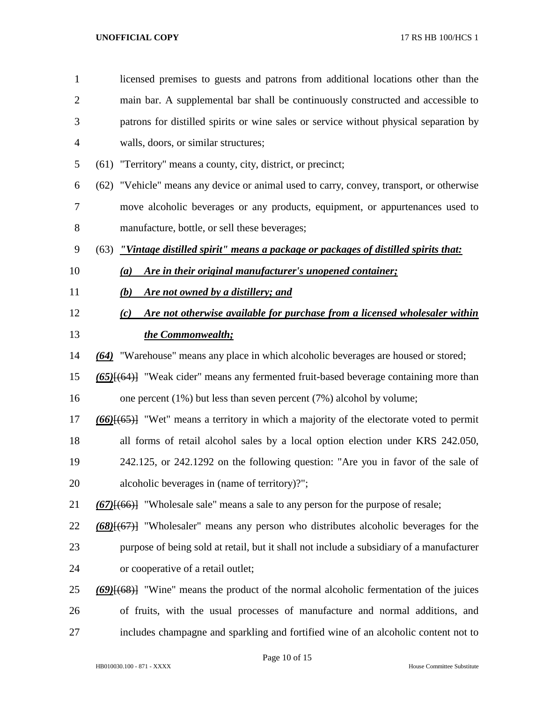| $\mathbf{1}$   | licensed premises to guests and patrons from additional locations other than the            |
|----------------|---------------------------------------------------------------------------------------------|
| $\overline{2}$ | main bar. A supplemental bar shall be continuously constructed and accessible to            |
| 3              | patrons for distilled spirits or wine sales or service without physical separation by       |
| 4              | walls, doors, or similar structures;                                                        |
| 5              | (61) "Territory" means a county, city, district, or precinct;                               |
| 6              | (62) "Vehicle" means any device or animal used to carry, convey, transport, or otherwise    |
| 7              | move alcoholic beverages or any products, equipment, or appurtenances used to               |
| 8              | manufacture, bottle, or sell these beverages;                                               |
| 9              | "Vintage distilled spirit" means a package or packages of distilled spirits that:<br>(63)   |
| 10             | Are in their original manufacturer's unopened container;<br>(a)                             |
| 11             | Are not owned by a distillery; and<br>(b)                                                   |
| 12             | Are not otherwise available for purchase from a licensed wholesaler within<br>(c)           |
| 13             | the Commonwealth;                                                                           |
| 14             | (64) "Warehouse" means any place in which alcoholic beverages are housed or stored;         |
| 15             | $(65)$ $\{ (64)$ "Weak cider" means any fermented fruit-based beverage containing more than |
| 16             | one percent $(1\%)$ but less than seven percent $(7\%)$ alcohol by volume;                  |
| 17             | $(66)$ $(65)$ "Wet" means a territory in which a majority of the electorate voted to permit |
| 18             | all forms of retail alcohol sales by a local option election under KRS 242.050,             |
| 19             | 242.125, or 242.1292 on the following question: "Are you in favor of the sale of            |
| 20             | alcoholic beverages in (name of territory)?";                                               |
| 21             | $(67)$ [ $(66)$ ] "Wholesale sale" means a sale to any person for the purpose of resale;    |
| 22             | $(68)$ $(67)$ "Wholesaler" means any person who distributes alcoholic beverages for the     |
| 23             | purpose of being sold at retail, but it shall not include a subsidiary of a manufacturer    |
| 24             | or cooperative of a retail outlet;                                                          |
| 25             | $(69)$ [68}] "Wine" means the product of the normal alcoholic fermentation of the juices    |
| 26             | of fruits, with the usual processes of manufacture and normal additions, and                |
| 27             | includes champagne and sparkling and fortified wine of an alcoholic content not to          |

Page 10 of 15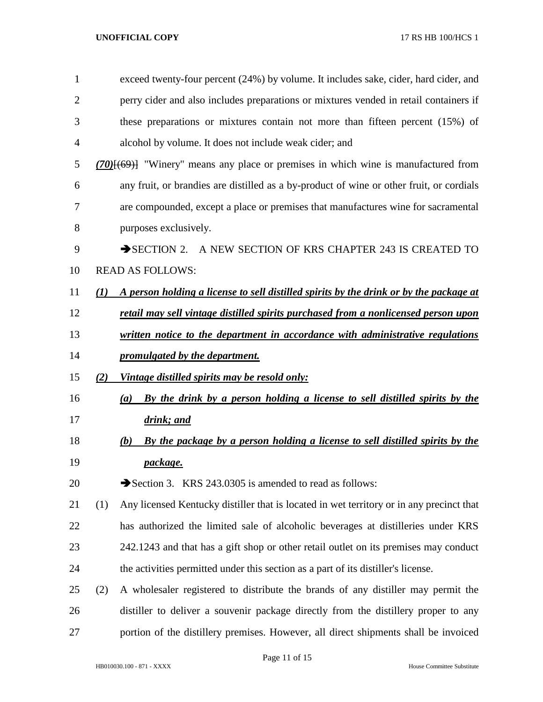| 1  |                  | exceed twenty-four percent (24%) by volume. It includes sake, cider, hard cider, and                         |
|----|------------------|--------------------------------------------------------------------------------------------------------------|
| 2  |                  | perry cider and also includes preparations or mixtures vended in retail containers if                        |
| 3  |                  | these preparations or mixtures contain not more than fifteen percent (15%) of                                |
| 4  |                  | alcohol by volume. It does not include weak cider; and                                                       |
| 5  |                  | $(70)$ $\left(\frac{69}{100}\right)$ "Winery" means any place or premises in which wine is manufactured from |
| 6  |                  | any fruit, or brandies are distilled as a by-product of wine or other fruit, or cordials                     |
| 7  |                  | are compounded, except a place or premises that manufactures wine for sacramental                            |
| 8  |                  | purposes exclusively.                                                                                        |
| 9  |                  | SECTION 2. A NEW SECTION OF KRS CHAPTER 243 IS CREATED TO                                                    |
| 10 |                  | <b>READ AS FOLLOWS:</b>                                                                                      |
| 11 | $\mathcal{L}(I)$ | A person holding a license to sell distilled spirits by the drink or by the package at                       |
| 12 |                  | retail may sell vintage distilled spirits purchased from a nonlicensed person upon                           |
| 13 |                  | written notice to the department in accordance with administrative regulations                               |
| 14 |                  | promulgated by the department.                                                                               |
| 15 | (2)              | Vintage distilled spirits may be resold only:                                                                |
| 16 |                  | By the drink by a person holding a license to sell distilled spirits by the<br>(a)                           |
| 17 |                  | drink; and                                                                                                   |
| 18 |                  | By the package by a person holding a license to sell distilled spirits by the<br>(b)                         |
| 19 |                  | package.                                                                                                     |
| 20 |                  | Section 3. KRS 243.0305 is amended to read as follows:                                                       |
| 21 | (1)              | Any licensed Kentucky distiller that is located in wet territory or in any precinct that                     |
| 22 |                  | has authorized the limited sale of alcoholic beverages at distilleries under KRS                             |
| 23 |                  | 242.1243 and that has a gift shop or other retail outlet on its premises may conduct                         |
| 24 |                  | the activities permitted under this section as a part of its distiller's license.                            |
| 25 | (2)              | A wholesaler registered to distribute the brands of any distiller may permit the                             |
| 26 |                  | distiller to deliver a souvenir package directly from the distillery proper to any                           |
| 27 |                  | portion of the distillery premises. However, all direct shipments shall be invoiced                          |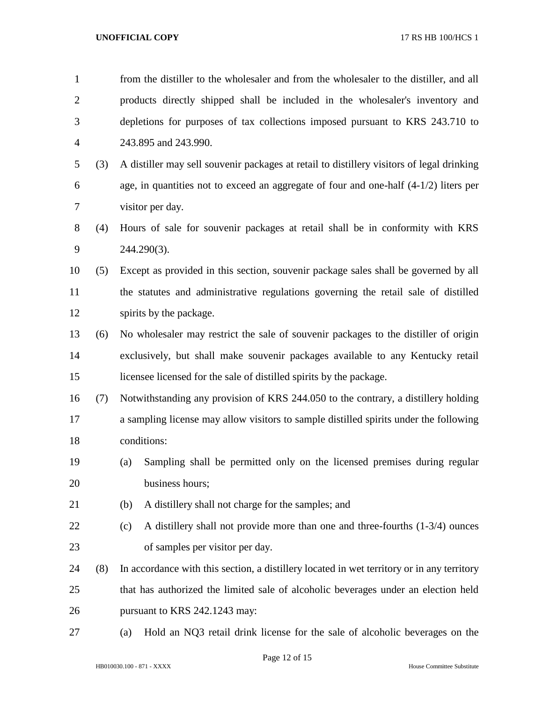| $\mathbf{1}$   |     | from the distiller to the wholesaler and from the wholesaler to the distiller, and all     |  |  |  |
|----------------|-----|--------------------------------------------------------------------------------------------|--|--|--|
| $\overline{2}$ |     | products directly shipped shall be included in the wholesaler's inventory and              |  |  |  |
| 3              |     | depletions for purposes of tax collections imposed pursuant to KRS 243.710 to              |  |  |  |
| $\overline{4}$ |     | 243.895 and 243.990.                                                                       |  |  |  |
| 5              | (3) | A distiller may sell souvenir packages at retail to distillery visitors of legal drinking  |  |  |  |
| 6              |     | age, in quantities not to exceed an aggregate of four and one-half $(4-1/2)$ liters per    |  |  |  |
| 7              |     | visitor per day.                                                                           |  |  |  |
| 8              | (4) | Hours of sale for souvenir packages at retail shall be in conformity with KRS              |  |  |  |
| 9              |     | 244.290(3).                                                                                |  |  |  |
| 10             | (5) | Except as provided in this section, souvenir package sales shall be governed by all        |  |  |  |
| 11             |     | the statutes and administrative regulations governing the retail sale of distilled         |  |  |  |
| 12             |     | spirits by the package.                                                                    |  |  |  |
| 13             | (6) | No wholesaler may restrict the sale of souvenir packages to the distiller of origin        |  |  |  |
| 14             |     | exclusively, but shall make souvenir packages available to any Kentucky retail             |  |  |  |
| 15             |     | licensee licensed for the sale of distilled spirits by the package.                        |  |  |  |
| 16             | (7) | Notwithstanding any provision of KRS 244.050 to the contrary, a distillery holding         |  |  |  |
| 17             |     | a sampling license may allow visitors to sample distilled spirits under the following      |  |  |  |
| 18             |     | conditions:                                                                                |  |  |  |
| 19             |     | Sampling shall be permitted only on the licensed premises during regular<br>(a)            |  |  |  |
| 20             |     | business hours;                                                                            |  |  |  |
| 21             |     | (b)<br>A distillery shall not charge for the samples; and                                  |  |  |  |
| 22             |     | A distillery shall not provide more than one and three-fourths $(1-3/4)$ ounces<br>(c)     |  |  |  |
| 23             |     | of samples per visitor per day.                                                            |  |  |  |
| 24             | (8) | In accordance with this section, a distillery located in wet territory or in any territory |  |  |  |
| 25             |     | that has authorized the limited sale of alcoholic beverages under an election held         |  |  |  |
| 26             |     | pursuant to KRS 242.1243 may:                                                              |  |  |  |
| 27             |     | Hold an NQ3 retail drink license for the sale of alcoholic beverages on the<br>(a)         |  |  |  |
|                |     |                                                                                            |  |  |  |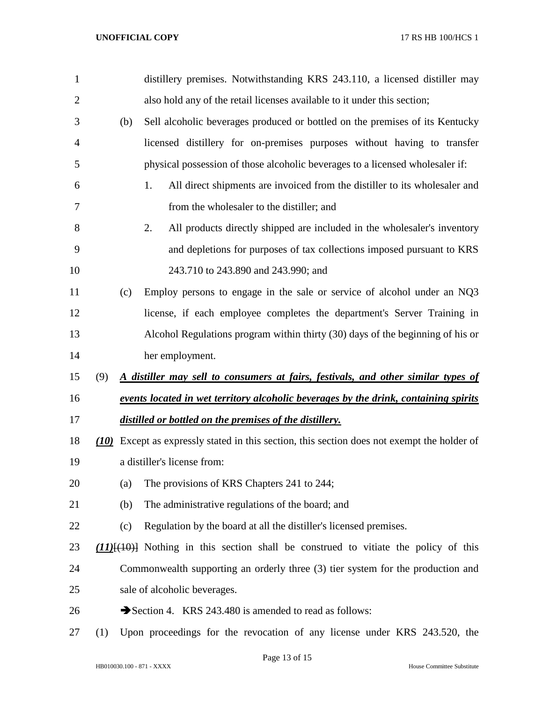| $\mathbf{1}$   |     | distillery premises. Notwithstanding KRS 243.110, a licensed distiller may                  |  |  |  |  |
|----------------|-----|---------------------------------------------------------------------------------------------|--|--|--|--|
| $\overline{2}$ |     | also hold any of the retail licenses available to it under this section;                    |  |  |  |  |
| 3              | (b) | Sell alcoholic beverages produced or bottled on the premises of its Kentucky                |  |  |  |  |
| $\overline{4}$ |     | licensed distillery for on-premises purposes without having to transfer                     |  |  |  |  |
| 5              |     | physical possession of those alcoholic beverages to a licensed wholesaler if:               |  |  |  |  |
| 6              |     | All direct shipments are invoiced from the distiller to its wholesaler and<br>1.            |  |  |  |  |
| 7              |     | from the wholesaler to the distiller; and                                                   |  |  |  |  |
| 8              |     | 2.<br>All products directly shipped are included in the wholesaler's inventory              |  |  |  |  |
| 9              |     | and depletions for purposes of tax collections imposed pursuant to KRS                      |  |  |  |  |
| 10             |     | 243.710 to 243.890 and 243.990; and                                                         |  |  |  |  |
| 11             | (c) | Employ persons to engage in the sale or service of alcohol under an NQ3                     |  |  |  |  |
| 12             |     | license, if each employee completes the department's Server Training in                     |  |  |  |  |
| 13             |     | Alcohol Regulations program within thirty (30) days of the beginning of his or              |  |  |  |  |
| 14             |     | her employment.                                                                             |  |  |  |  |
| 15             | (9) | A distiller may sell to consumers at fairs, festivals, and other similar types of           |  |  |  |  |
| 16             |     | events located in wet territory alcoholic beverages by the drink, containing spirits        |  |  |  |  |
| 17             |     | distilled or bottled on the premises of the distillery.                                     |  |  |  |  |
| 18             |     | (10) Except as expressly stated in this section, this section does not exempt the holder of |  |  |  |  |
| 19             |     | a distiller's license from:                                                                 |  |  |  |  |
| 20             | (a) | The provisions of KRS Chapters 241 to 244;                                                  |  |  |  |  |
| 21             | (b) | The administrative regulations of the board; and                                            |  |  |  |  |
| 22             | (c) | Regulation by the board at all the distiller's licensed premises.                           |  |  |  |  |
| 23             |     | $(11)$ { $(10)$ } Nothing in this section shall be construed to vitiate the policy of this  |  |  |  |  |
| 24             |     | Commonwealth supporting an orderly three (3) tier system for the production and             |  |  |  |  |
| 25             |     | sale of alcoholic beverages.                                                                |  |  |  |  |
| 26             |     | Section 4. KRS 243.480 is amended to read as follows:                                       |  |  |  |  |
| 27             | (1) | Upon proceedings for the revocation of any license under KRS 243.520, the                   |  |  |  |  |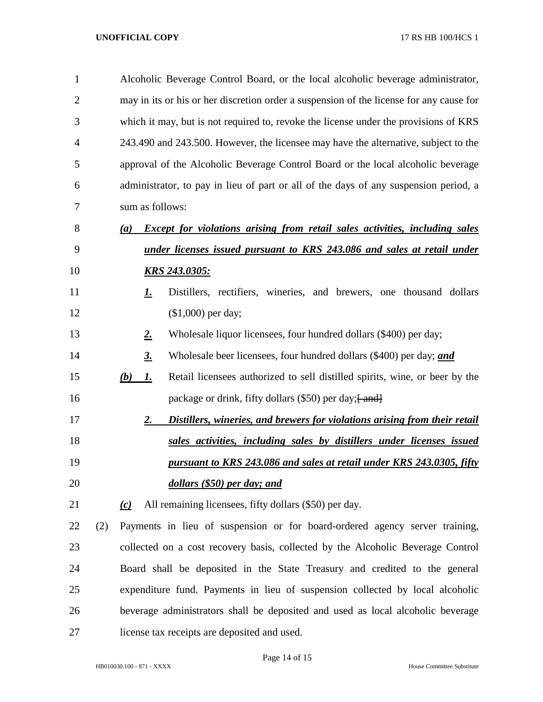| $\mathbf{1}$   |     |          | Alcoholic Beverage Control Board, or the local alcoholic beverage administrator,        |                                                                                      |  |  |  |
|----------------|-----|----------|-----------------------------------------------------------------------------------------|--------------------------------------------------------------------------------------|--|--|--|
| $\overline{2}$ |     |          | may in its or his or her discretion order a suspension of the license for any cause for |                                                                                      |  |  |  |
| 3              |     |          | which it may, but is not required to, revoke the license under the provisions of KRS    |                                                                                      |  |  |  |
| 4              |     |          |                                                                                         | 243.490 and 243.500. However, the licensee may have the alternative, subject to the  |  |  |  |
| 5              |     |          |                                                                                         | approval of the Alcoholic Beverage Control Board or the local alcoholic beverage     |  |  |  |
| 6              |     |          |                                                                                         | administrator, to pay in lieu of part or all of the days of any suspension period, a |  |  |  |
| 7              |     |          | sum as follows:                                                                         |                                                                                      |  |  |  |
| 8              |     | (a)      |                                                                                         | <b>Except for violations arising from retail sales activities, including sales</b>   |  |  |  |
| 9              |     |          |                                                                                         | under licenses issued pursuant to KRS 243.086 and sales at retail under              |  |  |  |
| 10             |     |          |                                                                                         | <b>KRS 243.0305:</b>                                                                 |  |  |  |
| 11             |     |          | <u>I.</u>                                                                               | Distillers, rectifiers, wineries, and brewers, one thousand dollars                  |  |  |  |
| 12             |     |          |                                                                                         | $($1,000)$ per day;                                                                  |  |  |  |
| 13             |     |          | <u>2.</u>                                                                               | Wholesale liquor licensees, four hundred dollars (\$400) per day;                    |  |  |  |
| 14             |     |          | <u>3.</u>                                                                               | Wholesale beer licensees, four hundred dollars (\$400) per day; and                  |  |  |  |
| 15             |     | (b)      | <u>I.</u>                                                                               | Retail licensees authorized to sell distilled spirits, wine, or beer by the          |  |  |  |
| 16             |     |          |                                                                                         | package or drink, fifty dollars (\$50) per day; [ and]                               |  |  |  |
| 17             |     |          | 2.                                                                                      | Distillers, wineries, and brewers for violations arising from their retail           |  |  |  |
| 18             |     |          |                                                                                         | sales activities, including sales by distillers under licenses issued                |  |  |  |
| 19             |     |          |                                                                                         | pursuant to KRS 243.086 and sales at retail under KRS 243.0305, fifty                |  |  |  |
| 20             |     |          |                                                                                         | dollars (\$50) per day; and                                                          |  |  |  |
| 21             |     | $\omega$ |                                                                                         | All remaining licensees, fifty dollars (\$50) per day.                               |  |  |  |
| 22             | (2) |          |                                                                                         | Payments in lieu of suspension or for board-ordered agency server training,          |  |  |  |
| 23             |     |          |                                                                                         | collected on a cost recovery basis, collected by the Alcoholic Beverage Control      |  |  |  |
| 24             |     |          |                                                                                         | Board shall be deposited in the State Treasury and credited to the general           |  |  |  |
| 25             |     |          |                                                                                         | expenditure fund. Payments in lieu of suspension collected by local alcoholic        |  |  |  |
| 26             |     |          |                                                                                         | beverage administrators shall be deposited and used as local alcoholic beverage      |  |  |  |
| 27             |     |          |                                                                                         | license tax receipts are deposited and used.                                         |  |  |  |

Page 14 of 15